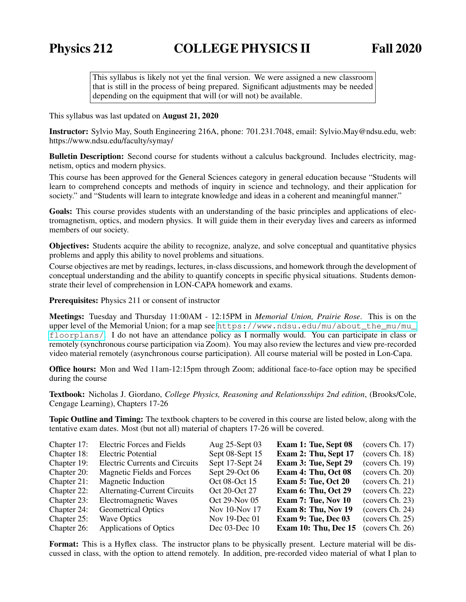This syllabus is likely not yet the final version. We were assigned a new classroom that is still in the process of being prepared. Significant adjustments may be needed depending on the equipment that will (or will not) be available.

This syllabus was last updated on August 21, 2020

Instructor: Sylvio May, South Engineering 216A, phone: 701.231.7048, email: Sylvio.May@ndsu.edu, web: https://www.ndsu.edu/faculty/symay/

**Bulletin Description:** Second course for students without a calculus background. Includes electricity, magnetism, optics and modern physics.

This course has been approved for the General Sciences category in general education because "Students will learn to comprehend concepts and methods of inquiry in science and technology, and their application for society." and "Students will learn to integrate knowledge and ideas in a coherent and meaningful manner."

Goals: This course provides students with an understanding of the basic principles and applications of electromagnetism, optics, and modern physics. It will guide them in their everyday lives and careers as informed members of our society.

Objectives: Students acquire the ability to recognize, analyze, and solve conceptual and quantitative physics problems and apply this ability to novel problems and situations.

Course objectives are met by readings, lectures, in-class discussions, and homework through the development of conceptual understanding and the ability to quantify concepts in specific physical situations. Students demonstrate their level of comprehension in LON-CAPA homework and exams.

Prerequisites: Physics 211 or consent of instructor

Meetings: Tuesday and Thursday 11:00AM - 12:15PM in *Memorial Union, Prairie Rose*. This is on the upper level of the Memorial Union; for a map see [https://www.ndsu.edu/mu/about\\_the\\_mu/mu\\_](https://www.ndsu.edu/mu/about_the_mu/mu_floorplans/) [floorplans/](https://www.ndsu.edu/mu/about_the_mu/mu_floorplans/). I do not have an attendance policy as I normally would. You can participate in class or remotely (synchronous course participation via Zoom). You may also review the lectures and view pre-recorded video material remotely (asynchronous course participation). All course material will be posted in Lon-Capa.

Office hours: Mon and Wed 11am-12:15pm through Zoom; additional face-to-face option may be specified during the course

Textbook: Nicholas J. Giordano, *College Physics, Reasoning and Relationsships 2nd edition*, (Brooks/Cole, Cengage Learning), Chapters 17-26

Topic Outline and Timing: The textbook chapters to be covered in this course are listed below, along with the tentative exam dates. Most (but not all) material of chapters 17-26 will be covered.

| Chapter 17: | <b>Electric Forces and Fields</b>     | Aug 25-Sept 03     | Exam 1: Tue, Sept 08 | (covers Ch. 17) |
|-------------|---------------------------------------|--------------------|----------------------|-----------------|
| Chapter 18: | <b>Electric Potential</b>             | Sept 08-Sept 15    | Exam 2: Thu, Sept 17 | (covers Ch. 18) |
| Chapter 19: | <b>Electric Currents and Circuits</b> | Sept 17-Sept 24    | Exam 3: Tue, Sept 29 | (covers Ch. 19) |
| Chapter 20: | Magnetic Fields and Forces            | Sept 29-Oct 06     | Exam 4: Thu, Oct 08  | (covers Ch. 20) |
| Chapter 21: | <b>Magnetic Induction</b>             | Oct 08-Oct 15      | Exam 5: Tue, Oct 20  | (covers Ch. 21) |
| Chapter 22: | <b>Alternating-Current Circuits</b>   | Oct 20-Oct 27      | Exam 6: Thu, Oct 29  | (covers Ch. 22) |
| Chapter 23: | Electromagnetic Waves                 | Oct 29-Nov 05      | Exam 7: Tue, Nov 10  | (covers Ch. 23) |
| Chapter 24: | <b>Geometrical Optics</b>             | Nov 10-Nov 17      | Exam 8: Thu, Nov 19  | (covers Ch. 24) |
| Chapter 25: | <b>Wave Optics</b>                    | Nov 19-Dec 01      | Exam 9: Tue, Dec 03  | (covers Ch. 25) |
| Chapter 26: | Applications of Optics                | Dec $03$ -Dec $10$ | Exam 10: Thu, Dec 15 | (covers Ch. 26) |

Format: This is a Hyflex class. The instructor plans to be physically present. Lecture material will be discussed in class, with the option to attend remotely. In addition, pre-recorded video material of what I plan to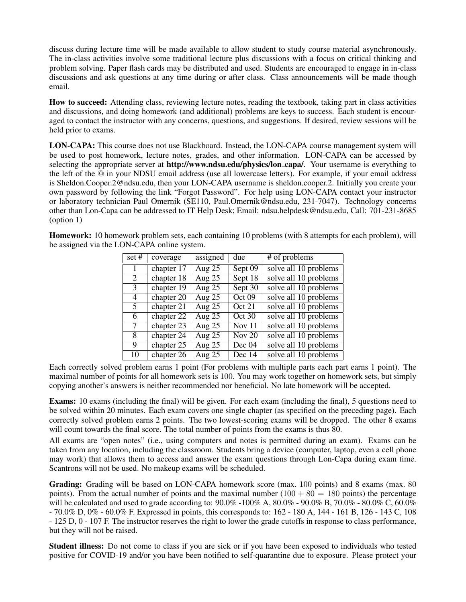discuss during lecture time will be made available to allow student to study course material asynchronously. The in-class activities involve some traditional lecture plus discussions with a focus on critical thinking and problem solving. Paper flash cards may be distributed and used. Students are encouraged to engage in in-class discussions and ask questions at any time during or after class. Class announcements will be made though email.

How to succeed: Attending class, reviewing lecture notes, reading the textbook, taking part in class activities and discussions, and doing homework (and additional) problems are keys to success. Each student is encouraged to contact the instructor with any concerns, questions, and suggestions. If desired, review sessions will be held prior to exams.

LON-CAPA: This course does not use Blackboard. Instead, the LON-CAPA course management system will be used to post homework, lecture notes, grades, and other information. LON-CAPA can be accessed by selecting the appropriate server at http://www.ndsu.edu/physics/lon\_capa/. Your username is everything to the left of the @ in your NDSU email address (use all lowercase letters). For example, if your email address is Sheldon.Cooper.2@ndsu.edu, then your LON-CAPA username is sheldon.cooper.2. Initially you create your own password by following the link "Forgot Password". For help using LON-CAPA contact your instructor or laboratory technician Paul Omernik (SE110, Paul.Omernik@ndsu.edu, 231-7047). Technology concerns other than Lon-Capa can be addressed to IT Help Desk; Email: ndsu.helpdesk@ndsu.edu, Call: 701-231-8685 (option 1)

Homework: 10 homework problem sets, each containing 10 problems (with 8 attempts for each problem), will be assigned via the LON-CAPA online system.

| set # | coverage     | assigned | due                 | # of problems         |
|-------|--------------|----------|---------------------|-----------------------|
| 1     | chapter 17   | Aug $25$ | Sept 09             | solve all 10 problems |
| 2     | chapter $18$ | Aug $25$ | Sept 18             | solve all 10 problems |
| 3     | chapter 19   | Aug $25$ | Sept 30             | solve all 10 problems |
| 4     | chapter 20   | Aug $25$ | Oct 09              | solve all 10 problems |
| 5.    | chapter $21$ | Aug $25$ | Oct 21              | solve all 10 problems |
| 6     | chapter 22   | Aug $25$ | $\overline{Oct}$ 30 | solve all 10 problems |
| 7     | chapter 23   | Aug $25$ | Nov 11              | solve all 10 problems |
| 8     | chapter 24   | Aug $25$ | Nov $20$            | solve all 10 problems |
| 9     | chapter 25   | Aug $25$ | Dec 04              | solve all 10 problems |
| 10    | chapter 26   | Aug $25$ | Dec 14              | solve all 10 problems |

Each correctly solved problem earns 1 point (For problems with multiple parts each part earns 1 point). The maximal number of points for all homework sets is 100. You may work together on homework sets, but simply copying another's answers is neither recommended nor beneficial. No late homework will be accepted.

Exams: 10 exams (including the final) will be given. For each exam (including the final), 5 questions need to be solved within 20 minutes. Each exam covers one single chapter (as specified on the preceding page). Each correctly solved problem earns 2 points. The two lowest-scoring exams will be dropped. The other 8 exams will count towards the final score. The total number of points from the exams is thus 80.

All exams are "open notes" (i.e., using computers and notes is permitted during an exam). Exams can be taken from any location, including the classroom. Students bring a device (computer, laptop, even a cell phone may work) that allows them to access and answer the exam questions through Lon-Capa during exam time. Scantrons will not be used. No makeup exams will be scheduled.

Grading: Grading will be based on LON-CAPA homework score (max. 100 points) and 8 exams (max. 80 points). From the actual number of points and the maximal number  $(100 + 80 = 180$  points) the percentage will be calculated and used to grade according to:  $90.0\%$  -100% A,  $80.0\%$  -  $90.0\%$  B,  $70.0\%$  -  $80.0\%$  C,  $60.0\%$ - 70.0% D, 0% - 60.0% F. Expressed in points, this corresponds to: 162 - 180 A, 144 - 161 B, 126 - 143 C, 108 - 125 D, 0 - 107 F. The instructor reserves the right to lower the grade cutoffs in response to class performance, but they will not be raised.

Student illness: Do not come to class if you are sick or if you have been exposed to individuals who tested positive for COVID-19 and/or you have been notified to self-quarantine due to exposure. Please protect your